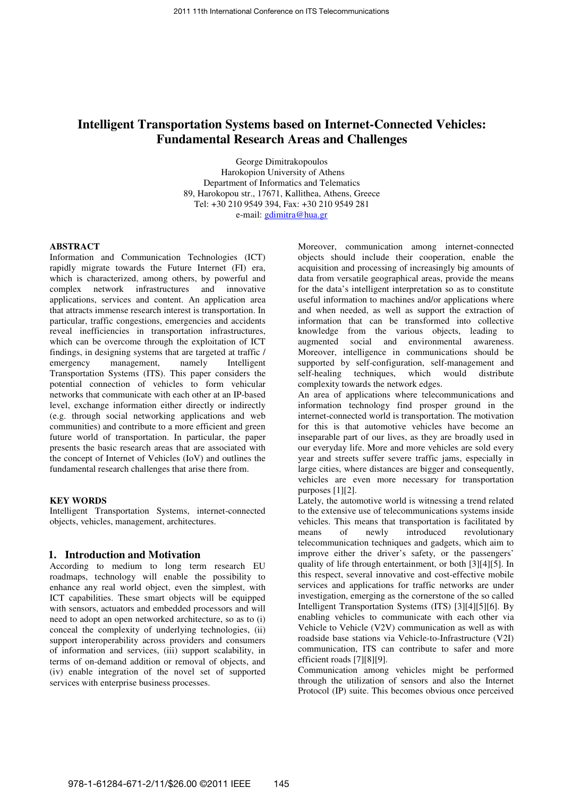# **Intelligent Transportation Systems based on Internet-Connected Vehicles: Fundamental Research Areas and Challenges**

George Dimitrakopoulos Harokopion University of Athens Department of Informatics and Telematics 89, Harokopou str., 17671, Kallithea, Athens, Greece Tel: +30 210 9549 394, Fax: +30 210 9549 281 e-mail: gdimitra@hua.gr

#### **ABSTRACT**

Information and Communication Technologies (ICT) rapidly migrate towards the Future Internet (FI) era, which is characterized, among others, by powerful and complex network infrastructures and innovative applications, services and content. An application area that attracts immense research interest is transportation. In particular, traffic congestions, emergencies and accidents reveal inefficiencies in transportation infrastructures, which can be overcome through the exploitation of ICT findings, in designing systems that are targeted at traffic / emergency management, namely Intelligent Transportation Systems (ITS). This paper considers the potential connection of vehicles to form vehicular networks that communicate with each other at an IP-based level, exchange information either directly or indirectly (e.g. through social networking applications and web communities) and contribute to a more efficient and green future world of transportation. In particular, the paper presents the basic research areas that are associated with the concept of Internet of Vehicles (IoV) and outlines the fundamental research challenges that arise there from.

#### **KEY WORDS**

Intelligent Transportation Systems, internet-connected objects, vehicles, management, architectures.

#### **1. Introduction and Motivation**

According to medium to long term research EU roadmaps, technology will enable the possibility to enhance any real world object, even the simplest, with ICT capabilities. These smart objects will be equipped with sensors, actuators and embedded processors and will need to adopt an open networked architecture, so as to (i) conceal the complexity of underlying technologies, (ii) support interoperability across providers and consumers of information and services, (iii) support scalability, in terms of on-demand addition or removal of objects, and (iv) enable integration of the novel set of supported services with enterprise business processes.

Moreover, communication among internet-connected objects should include their cooperation, enable the acquisition and processing of increasingly big amounts of data from versatile geographical areas, provide the means for the data's intelligent interpretation so as to constitute useful information to machines and/or applications where and when needed, as well as support the extraction of information that can be transformed into collective knowledge from the various objects, leading to augmented social and environmental awareness. Moreover, intelligence in communications should be supported by self-configuration, self-management and self-healing techniques, which would distribute complexity towards the network edges.

An area of applications where telecommunications and information technology find prosper ground in the internet-connected world is transportation. The motivation for this is that automotive vehicles have become an inseparable part of our lives, as they are broadly used in our everyday life. More and more vehicles are sold every year and streets suffer severe traffic jams, especially in large cities, where distances are bigger and consequently, vehicles are even more necessary for transportation purposes [1][2].

Lately, the automotive world is witnessing a trend related to the extensive use of telecommunications systems inside vehicles. This means that transportation is facilitated by means of newly introduced revolutionary telecommunication techniques and gadgets, which aim to improve either the driver's safety, or the passengers' quality of life through entertainment, or both [3][4][5]. In this respect, several innovative and cost-effective mobile services and applications for traffic networks are under investigation, emerging as the cornerstone of the so called Intelligent Transportation Systems (ITS) [3][4][5][6]. By enabling vehicles to communicate with each other via Vehicle to Vehicle (V2V) communication as well as with roadside base stations via Vehicle-to-Infrastructure (V2I) communication, ITS can contribute to safer and more efficient roads [7][8][9].

Communication among vehicles might be performed through the utilization of sensors and also the Internet Protocol (IP) suite. This becomes obvious once perceived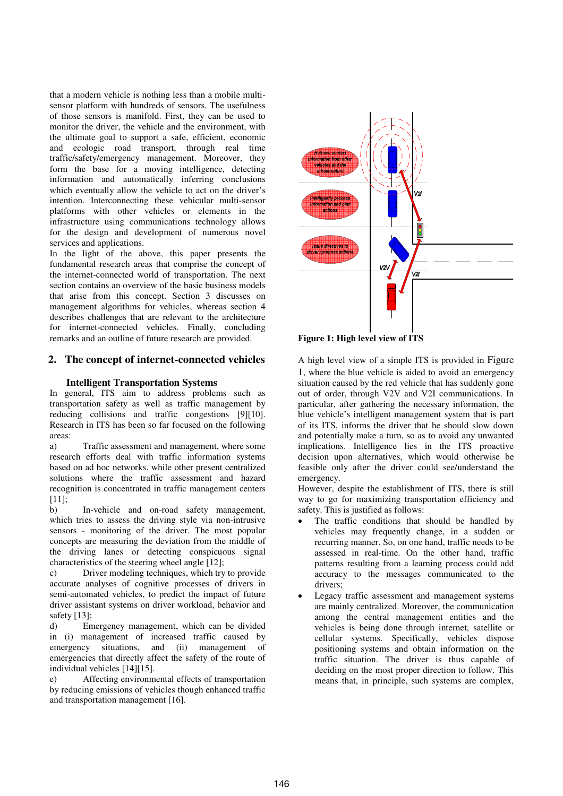that a modern vehicle is nothing less than a mobile multisensor platform with hundreds of sensors. The usefulness of those sensors is manifold. First, they can be used to monitor the driver, the vehicle and the environment, with the ultimate goal to support a safe, efficient, economic and ecologic road transport, through real time traffic/safety/emergency management. Moreover, they form the base for a moving intelligence, detecting information and automatically inferring conclusions which eventually allow the vehicle to act on the driver's intention. Interconnecting these vehicular multi-sensor platforms with other vehicles or elements in the infrastructure using communications technology allows for the design and development of numerous novel services and applications.

In the light of the above, this paper presents the fundamental research areas that comprise the concept of the internet-connected world of transportation. The next section contains an overview of the basic business models that arise from this concept. Section 3 discusses on management algorithms for vehicles, whereas section 4 describes challenges that are relevant to the architecture for internet-connected vehicles. Finally, concluding remarks and an outline of future research are provided.

# **2. The concept of internet-connected vehicles**

### **Intelligent Transportation Systems**

In general, ITS aim to address problems such as transportation safety as well as traffic management by reducing collisions and traffic congestions [9][10]. Research in ITS has been so far focused on the following areas:

a) Traffic assessment and management, where some research efforts deal with traffic information systems based on ad hoc networks, while other present centralized solutions where the traffic assessment and hazard recognition is concentrated in traffic management centers [11];

b) In-vehicle and on-road safety management, which tries to assess the driving style via non-intrusive sensors - monitoring of the driver. The most popular concepts are measuring the deviation from the middle of the driving lanes or detecting conspicuous signal characteristics of the steering wheel angle [12];

c) Driver modeling techniques, which try to provide accurate analyses of cognitive processes of drivers in semi-automated vehicles, to predict the impact of future driver assistant systems on driver workload, behavior and safety [13];

d) Emergency management, which can be divided in (i) management of increased traffic caused by emergency situations, and (ii) management of emergencies that directly affect the safety of the route of individual vehicles [14][15].

e) Affecting environmental effects of transportation by reducing emissions of vehicles though enhanced traffic and transportation management [16].



**Figure 1: High level view of ITS** 

A high level view of a simple ITS is provided in Figure 1, where the blue vehicle is aided to avoid an emergency situation caused by the red vehicle that has suddenly gone out of order, through V2V and V2I communications. In particular, after gathering the necessary information, the blue vehicle's intelligent management system that is part of its ITS, informs the driver that he should slow down and potentially make a turn, so as to avoid any unwanted implications. Intelligence lies in the ITS proactive decision upon alternatives, which would otherwise be feasible only after the driver could see/understand the emergency.

However, despite the establishment of ITS, there is still way to go for maximizing transportation efficiency and safety. This is justified as follows:

- The traffic conditions that should be handled by vehicles may frequently change, in a sudden or recurring manner. So, on one hand, traffic needs to be assessed in real-time. On the other hand, traffic patterns resulting from a learning process could add accuracy to the messages communicated to the drivers;
- Legacy traffic assessment and management systems are mainly centralized. Moreover, the communication among the central management entities and the vehicles is being done through internet, satellite or cellular systems. Specifically, vehicles dispose positioning systems and obtain information on the traffic situation. The driver is thus capable of deciding on the most proper direction to follow. This means that, in principle, such systems are complex,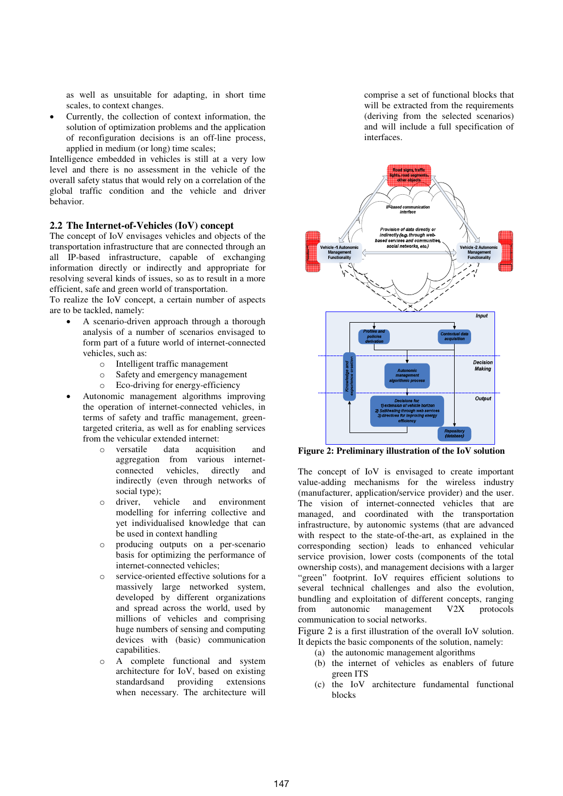as well as unsuitable for adapting, in short time scales, to context changes.

• Currently, the collection of context information, the solution of optimization problems and the application of reconfiguration decisions is an off-line process, applied in medium (or long) time scales;

Intelligence embedded in vehicles is still at a very low level and there is no assessment in the vehicle of the overall safety status that would rely on a correlation of the global traffic condition and the vehicle and driver behavior.

#### **2.2 The Internet-of-Vehicles (IoV) concept**

The concept of IoV envisages vehicles and objects of the transportation infrastructure that are connected through an all IP-based infrastructure, capable of exchanging information directly or indirectly and appropriate for resolving several kinds of issues, so as to result in a more efficient, safe and green world of transportation.

To realize the IoV concept, a certain number of aspects are to be tackled, namely:

- A scenario-driven approach through a thorough analysis of a number of scenarios envisaged to form part of a future world of internet-connected vehicles, such as:
	- o Intelligent traffic management
	- o Safety and emergency management
	- o Eco-driving for energy-efficiency
- Autonomic management algorithms improving the operation of internet-connected vehicles, in terms of safety and traffic management, greentargeted criteria, as well as for enabling services from the vehicular extended internet:<br>
o versatile data acquisition
	- o versatile data acquisition and aggregation from various internetconnected vehicles, directly and indirectly (even through networks of social type);
	- o driver, vehicle and environment modelling for inferring collective and yet individualised knowledge that can be used in context handling
	- o producing outputs on a per-scenario basis for optimizing the performance of internet-connected vehicles;
	- o service-oriented effective solutions for a massively large networked system, developed by different organizations and spread across the world, used by millions of vehicles and comprising huge numbers of sensing and computing devices with (basic) communication capabilities.
	- o A complete functional and system architecture for IoV, based on existing standardsand providing extensions when necessary. The architecture will

comprise a set of functional blocks that will be extracted from the requirements (deriving from the selected scenarios) and will include a full specification of interfaces.



**Figure 2: Preliminary illustration of the IoV solution**

The concept of IoV is envisaged to create important value-adding mechanisms for the wireless industry (manufacturer, application/service provider) and the user. The vision of internet-connected vehicles that are managed, and coordinated with the transportation infrastructure, by autonomic systems (that are advanced with respect to the state-of-the-art, as explained in the corresponding section) leads to enhanced vehicular service provision, lower costs (components of the total ownership costs), and management decisions with a larger "green" footprint. IoV requires efficient solutions to several technical challenges and also the evolution, bundling and exploitation of different concepts, ranging from autonomic management V2X protocols communication to social networks.

Figure 2 is a first illustration of the overall IoV solution. It depicts the basic components of the solution, namely:

- (a) the autonomic management algorithms
- (b) the internet of vehicles as enablers of future green ITS
- (c) the IoV architecture fundamental functional blocks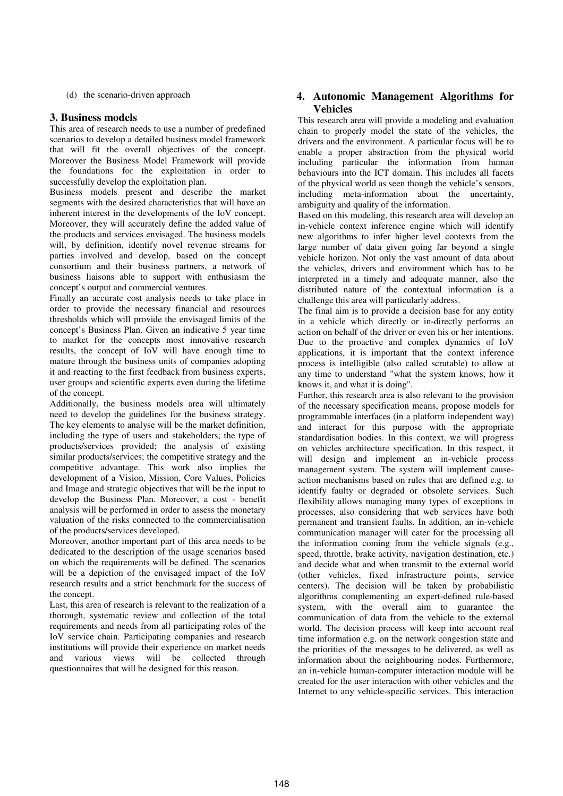(d) the scenario-driven approach

### **3. Business models**

This area of research needs to use a number of predefined scenarios to develop a detailed business model framework that will fit the overall objectives of the concept. Moreover the Business Model Framework will provide the foundations for the exploitation in order to successfully develop the exploitation plan.

Business models present and describe the market segments with the desired characteristics that will have an inherent interest in the developments of the IoV concept. Moreover, they will accurately define the added value of the products and services envisaged. The business models will, by definition, identify novel revenue streams for parties involved and develop, based on the concept consortium and their business partners, a network of business liaisons able to support with enthusiasm the concept's output and commercial ventures.

Finally an accurate cost analysis needs to take place in order to provide the necessary financial and resources thresholds which will provide the envisaged limits of the concept's Business Plan. Given an indicative 5 year time to market for the concepts most innovative research results, the concept of IoV will have enough time to mature through the business units of companies adopting it and reacting to the first feedback from business experts, user groups and scientific experts even during the lifetime of the concept.

Additionally, the business models area will ultimately need to develop the guidelines for the business strategy. The key elements to analyse will be the market definition, including the type of users and stakeholders; the type of products/services provided; the analysis of existing similar products/services; the competitive strategy and the competitive advantage. This work also implies the development of a Vision, Mission, Core Values, Policies and Image and strategic objectives that will be the input to develop the Business Plan. Moreover, a cost - benefit analysis will be performed in order to assess the monetary valuation of the risks connected to the commercialisation of the products/services developed.

Moreover, another important part of this area needs to be dedicated to the description of the usage scenarios based on which the requirements will be defined. The scenarios will be a depiction of the envisaged impact of the IoV research results and a strict benchmark for the success of the concept.

Last, this area of research is relevant to the realization of a thorough, systematic review and collection of the total requirements and needs from all participating roles of the IoV service chain. Participating companies and research institutions will provide their experience on market needs and various views will be collected through questionnaires that will be designed for this reason.

# **4. Autonomic Management Algorithms for Vehicles**

This research area will provide a modeling and evaluation chain to properly model the state of the vehicles, the drivers and the environment. A particular focus will be to enable a proper abstraction from the physical world including particular the information from human behaviours into the ICT domain. This includes all facets of the physical world as seen though the vehicle's sensors, including meta-information about the uncertainty, ambiguity and quality of the information.

Based on this modeling, this research area will develop an in-vehicle context inference engine which will identify new algorithms to infer higher level contexts from the large number of data given going far beyond a single vehicle horizon. Not only the vast amount of data about the vehicles, drivers and environment which has to be interpreted in a timely and adequate manner, also the distributed nature of the contextual information is a challenge this area will particularly address.

The final aim is to provide a decision base for any entity in a vehicle which directly or in-directly performs an action on behalf of the driver or even his or her intentions. Due to the proactive and complex dynamics of IoV applications, it is important that the context inference process is intelligible (also called scrutable) to allow at any time to understand "what the system knows, how it knows it, and what it is doing".

Further, this research area is also relevant to the provision of the necessary specification means, propose models for programmable interfaces (in a platform independent way) and interact for this purpose with the appropriate standardisation bodies. In this context, we will progress on vehicles architecture specification. In this respect, it will design and implement an in-vehicle process management system. The system will implement causeaction mechanisms based on rules that are defined e.g. to identify faulty or degraded or obsolete services. Such flexibility allows managing many types of exceptions in processes, also considering that web services have both permanent and transient faults. In addition, an in-vehicle communication manager will cater for the processing all the information coming from the vehicle signals (e.g., speed, throttle, brake activity, navigation destination, etc.) and decide what and when transmit to the external world (other vehicles, fixed infrastructure points, service centers). The decision will be taken by probabilistic algorithms complementing an expert-defined rule-based system, with the overall aim to guarantee the communication of data from the vehicle to the external world. The decision process will keep into account real time information e.g. on the network congestion state and the priorities of the messages to be delivered, as well as information about the neighbouring nodes. Furthermore, an in-vehicle human-computer interaction module will be created for the user interaction with other vehicles and the Internet to any vehicle-specific services. This interaction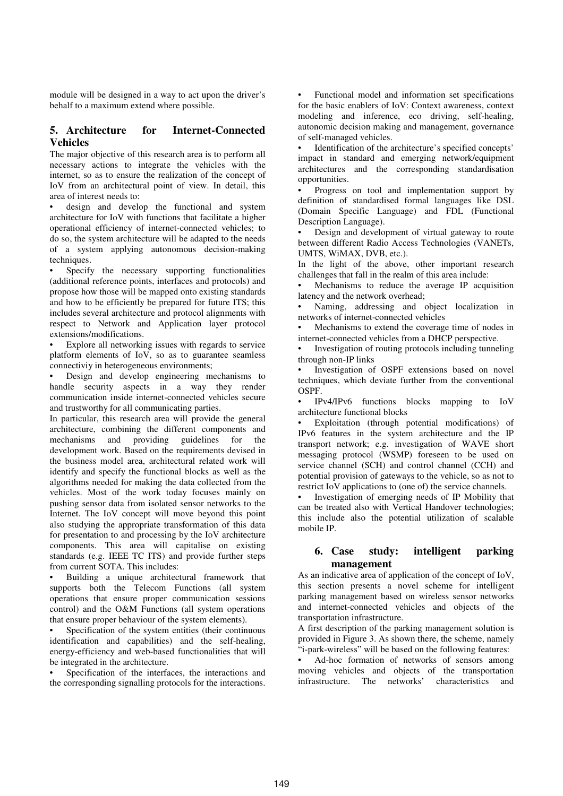module will be designed in a way to act upon the driver's behalf to a maximum extend where possible.

# **5. Architecture for Internet-Connected Vehicles**

The major objective of this research area is to perform all necessary actions to integrate the vehicles with the internet, so as to ensure the realization of the concept of IoV from an architectural point of view. In detail, this area of interest needs to:

• design and develop the functional and system architecture for IoV with functions that facilitate a higher operational efficiency of internet-connected vehicles; to do so, the system architecture will be adapted to the needs of a system applying autonomous decision-making techniques.

Specify the necessary supporting functionalities (additional reference points, interfaces and protocols) and propose how those will be mapped onto existing standards and how to be efficiently be prepared for future ITS; this includes several architecture and protocol alignments with respect to Network and Application layer protocol extensions/modifications.

Explore all networking issues with regards to service platform elements of IoV, so as to guarantee seamless connectiviy in heterogeneous environments;

• Design and develop engineering mechanisms to handle security aspects in a way they render communication inside internet-connected vehicles secure and trustworthy for all communicating parties.

In particular, this research area will provide the general architecture, combining the different components and mechanisms and providing guidelines for the development work. Based on the requirements devised in the business model area, architectural related work will identify and specify the functional blocks as well as the algorithms needed for making the data collected from the vehicles. Most of the work today focuses mainly on pushing sensor data from isolated sensor networks to the Internet. The IoV concept will move beyond this point also studying the appropriate transformation of this data for presentation to and processing by the IoV architecture components. This area will capitalise on existing standards (e.g. IEEE TC ITS) and provide further steps from current SOTA. This includes:

• Building a unique architectural framework that supports both the Telecom Functions (all system operations that ensure proper communication sessions control) and the O&M Functions (all system operations that ensure proper behaviour of the system elements).

Specification of the system entities (their continuous identification and capabilities) and the self-healing, energy-efficiency and web-based functionalities that will be integrated in the architecture.

Specification of the interfaces, the interactions and the corresponding signalling protocols for the interactions.

• Functional model and information set specifications for the basic enablers of IoV: Context awareness, context modeling and inference, eco driving, self-healing, autonomic decision making and management, governance of self-managed vehicles.

Identification of the architecture's specified concepts' impact in standard and emerging network/equipment architectures and the corresponding standardisation opportunities.

• Progress on tool and implementation support by definition of standardised formal languages like DSL (Domain Specific Language) and FDL (Functional Description Language).

Design and development of virtual gateway to route between different Radio Access Technologies (VANETs, UMTS, WiMAX, DVB, etc.).

In the light of the above, other important research challenges that fall in the realm of this area include:

Mechanisms to reduce the average IP acquisition latency and the network overhead;

• Naming, addressing and object localization in networks of internet-connected vehicles

• Mechanisms to extend the coverage time of nodes in internet-connected vehicles from a DHCP perspective.

Investigation of routing protocols including tunneling through non-IP links

Investigation of OSPF extensions based on novel techniques, which deviate further from the conventional OSPF.

• IPv4/IPv6 functions blocks mapping to IoV architecture functional blocks

• Exploitation (through potential modifications) of IPv6 features in the system architecture and the IP transport network; e.g. investigation of WAVE short messaging protocol (WSMP) foreseen to be used on service channel (SCH) and control channel (CCH) and potential provision of gateways to the vehicle, so as not to restrict IoV applications to (one of) the service channels.

• Investigation of emerging needs of IP Mobility that can be treated also with Vertical Handover technologies; this include also the potential utilization of scalable mobile IP.

# **6. Case study: intelligent parking management**

As an indicative area of application of the concept of IoV, this section presents a novel scheme for intelligent parking management based on wireless sensor networks and internet-connected vehicles and objects of the transportation infrastructure.

A first description of the parking management solution is provided in Figure 3. As shown there, the scheme, namely "i-park-wireless" will be based on the following features:

Ad-hoc formation of networks of sensors among moving vehicles and objects of the transportation<br>infrastructure. The networks' characteristics and infrastructure. The networks' characteristics and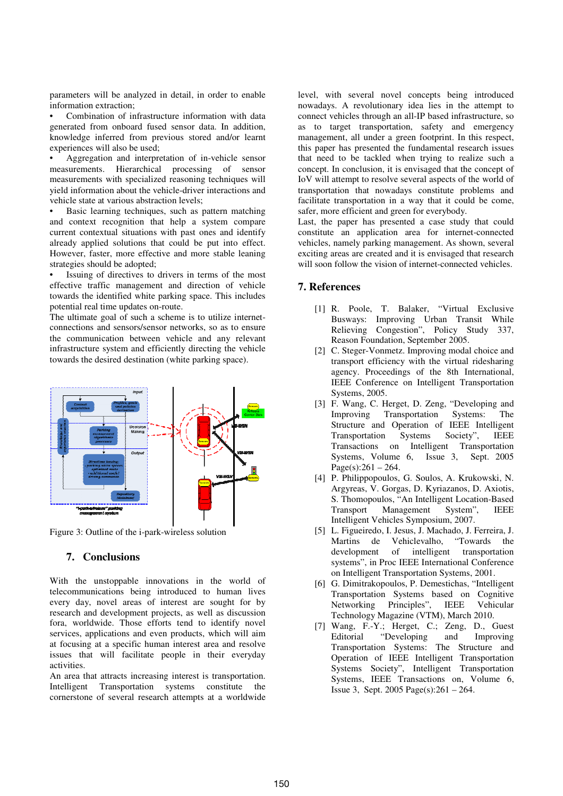parameters will be analyzed in detail, in order to enable information extraction;

• Combination of infrastructure information with data generated from onboard fused sensor data. In addition, knowledge inferred from previous stored and/or learnt experiences will also be used;

• Aggregation and interpretation of in-vehicle sensor measurements. Hierarchical processing of sensor measurements with specialized reasoning techniques will yield information about the vehicle-driver interactions and vehicle state at various abstraction levels;

Basic learning techniques, such as pattern matching and context recognition that help a system compare current contextual situations with past ones and identify already applied solutions that could be put into effect. However, faster, more effective and more stable leaning strategies should be adopted;

Issuing of directives to drivers in terms of the most effective traffic management and direction of vehicle towards the identified white parking space. This includes potential real time updates on-route.

The ultimate goal of such a scheme is to utilize internetconnections and sensors/sensor networks, so as to ensure the communication between vehicle and any relevant infrastructure system and efficiently directing the vehicle towards the desired destination (white parking space).



Figure 3: Outline of the i-park-wireless solution

### **7. Conclusions**

With the unstoppable innovations in the world of telecommunications being introduced to human lives every day, novel areas of interest are sought for by research and development projects, as well as discussion fora, worldwide. Those efforts tend to identify novel services, applications and even products, which will aim at focusing at a specific human interest area and resolve issues that will facilitate people in their everyday activities.

An area that attracts increasing interest is transportation. Intelligent Transportation systems constitute the cornerstone of several research attempts at a worldwide

level, with several novel concepts being introduced nowadays. A revolutionary idea lies in the attempt to connect vehicles through an all-IP based infrastructure, so as to target transportation, safety and emergency management, all under a green footprint. In this respect, this paper has presented the fundamental research issues that need to be tackled when trying to realize such a concept. In conclusion, it is envisaged that the concept of IoV will attempt to resolve several aspects of the world of transportation that nowadays constitute problems and facilitate transportation in a way that it could be come, safer, more efficient and green for everybody.

Last, the paper has presented a case study that could constitute an application area for internet-connected vehicles, namely parking management. As shown, several exciting areas are created and it is envisaged that research will soon follow the vision of internet-connected vehicles.

# **7. References**

- [1] R. Poole, T. Balaker, "Virtual Exclusive Busways: Improving Urban Transit While Relieving Congestion", Policy Study 337, Reason Foundation, September 2005.
- [2] C. Steger-Vonmetz. Improving modal choice and transport efficiency with the virtual ridesharing agency. Proceedings of the 8th International, IEEE Conference on Intelligent Transportation Systems, 2005.
- [3] F. Wang, C. Herget, D. Zeng, "Developing and Improving Transportation Systems: The Structure and Operation of IEEE Intelligent Transportation Systems Society", IEEE Transactions on Intelligent Transportation Systems, Volume 6, Issue 3, Sept. 2005 Page(s): $261 - 264$ .
- [4] P. Philippopoulos, G. Soulos, A. Krukowski, N. Argyreas, V. Gorgas, D. Kyriazanos, D. Axiotis, S. Thomopoulos, "An Intelligent Location-Based Transport Management System", IEEE Intelligent Vehicles Symposium, 2007.
- [5] L. Figueiredo, I. Jesus, J. Machado, J. Ferreira, J. Martins de Vehiclevalho, "Towards the development of intelligent transportation systems", in Proc IEEE International Conference on Intelligent Transportation Systems, 2001.
- [6] G. Dimitrakopoulos, P. Demestichas, "Intelligent Transportation Systems based on Cognitive Networking Principles", IEEE Vehicular Technology Magazine (VTM), March 2010.
- [7] Wang, F.-Y.; Herget, C.; Zeng, D., Guest Editorial "Developing and Improving Transportation Systems: The Structure and Operation of IEEE Intelligent Transportation Systems Society", Intelligent Transportation Systems, IEEE Transactions on, Volume 6, Issue 3, Sept. 2005 Page(s):261 – 264.